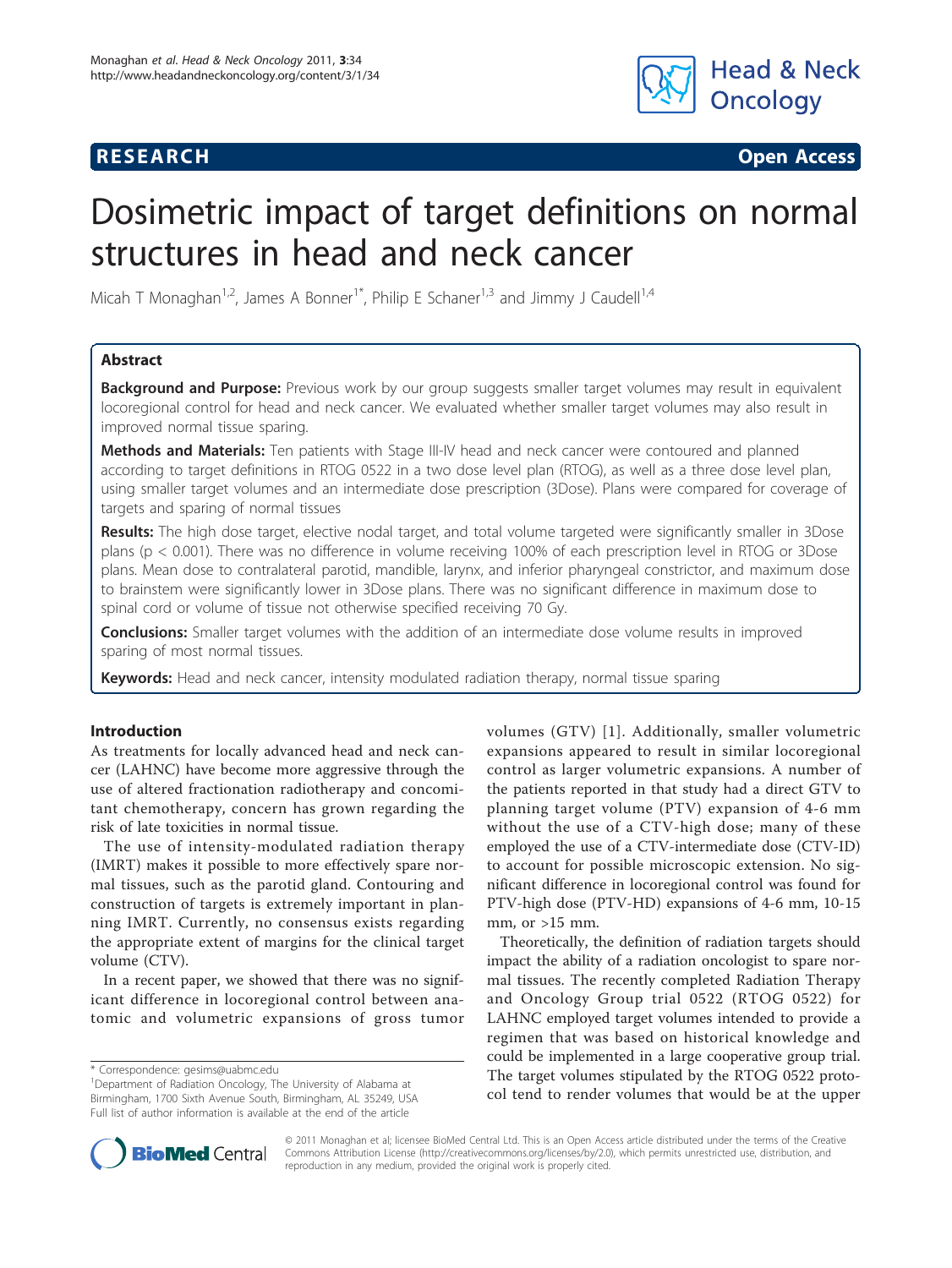

**RESEARCH CONSTRUCTION CONSTRUCTS** 

# Dosimetric impact of target definitions on normal structures in head and neck cancer

Micah T Monaghan<sup>1,2</sup>, James A Bonner<sup>1\*</sup>, Philip E Schaner<sup>1,3</sup> and Jimmy J Caudell<sup>1,4</sup>

## Abstract

**Background and Purpose:** Previous work by our group suggests smaller target volumes may result in equivalent locoregional control for head and neck cancer. We evaluated whether smaller target volumes may also result in improved normal tissue sparing.

Methods and Materials: Ten patients with Stage III-IV head and neck cancer were contoured and planned according to target definitions in RTOG 0522 in a two dose level plan (RTOG), as well as a three dose level plan, using smaller target volumes and an intermediate dose prescription (3Dose). Plans were compared for coverage of targets and sparing of normal tissues

Results: The high dose target, elective nodal target, and total volume targeted were significantly smaller in 3Dose plans (p < 0.001). There was no difference in volume receiving 100% of each prescription level in RTOG or 3Dose plans. Mean dose to contralateral parotid, mandible, larynx, and inferior pharyngeal constrictor, and maximum dose to brainstem were significantly lower in 3Dose plans. There was no significant difference in maximum dose to spinal cord or volume of tissue not otherwise specified receiving 70 Gy.

**Conclusions:** Smaller target volumes with the addition of an intermediate dose volume results in improved sparing of most normal tissues.

Keywords: Head and neck cancer, intensity modulated radiation therapy, normal tissue sparing

### Introduction

As treatments for locally advanced head and neck cancer (LAHNC) have become more aggressive through the use of altered fractionation radiotherapy and concomitant chemotherapy, concern has grown regarding the risk of late toxicities in normal tissue.

The use of intensity-modulated radiation therapy (IMRT) makes it possible to more effectively spare normal tissues, such as the parotid gland. Contouring and construction of targets is extremely important in planning IMRT. Currently, no consensus exists regarding the appropriate extent of margins for the clinical target volume (CTV).

In a recent paper, we showed that there was no significant difference in locoregional control between anatomic and volumetric expansions of gross tumor volumes (GTV) [\[1\]](#page-4-0). Additionally, smaller volumetric expansions appeared to result in similar locoregional control as larger volumetric expansions. A number of the patients reported in that study had a direct GTV to planning target volume (PTV) expansion of 4-6 mm without the use of a CTV-high dose; many of these employed the use of a CTV-intermediate dose (CTV-ID) to account for possible microscopic extension. No significant difference in locoregional control was found for PTV-high dose (PTV-HD) expansions of 4-6 mm, 10-15 mm, or  $>15$  mm.

Theoretically, the definition of radiation targets should impact the ability of a radiation oncologist to spare normal tissues. The recently completed Radiation Therapy and Oncology Group trial 0522 (RTOG 0522) for LAHNC employed target volumes intended to provide a regimen that was based on historical knowledge and could be implemented in a large cooperative group trial. The target volumes stipulated by the RTOG 0522 protocol tend to render volumes that would be at the upper



© 2011 Monaghan et al; licensee BioMed Central Ltd. This is an Open Access article distributed under the terms of the Creative Commons Attribution License [\(http://creativecommons.org/licenses/by/2.0](http://creativecommons.org/licenses/by/2.0)), which permits unrestricted use, distribution, and reproduction in any medium, provided the original work is properly cited.

<sup>\*</sup> Correspondence: [gesims@uabmc.edu](mailto:gesims@uabmc.edu)

<sup>&</sup>lt;sup>1</sup>Department of Radiation Oncology, The University of Alabama at Birmingham, 1700 Sixth Avenue South, Birmingham, AL 35249, USA Full list of author information is available at the end of the article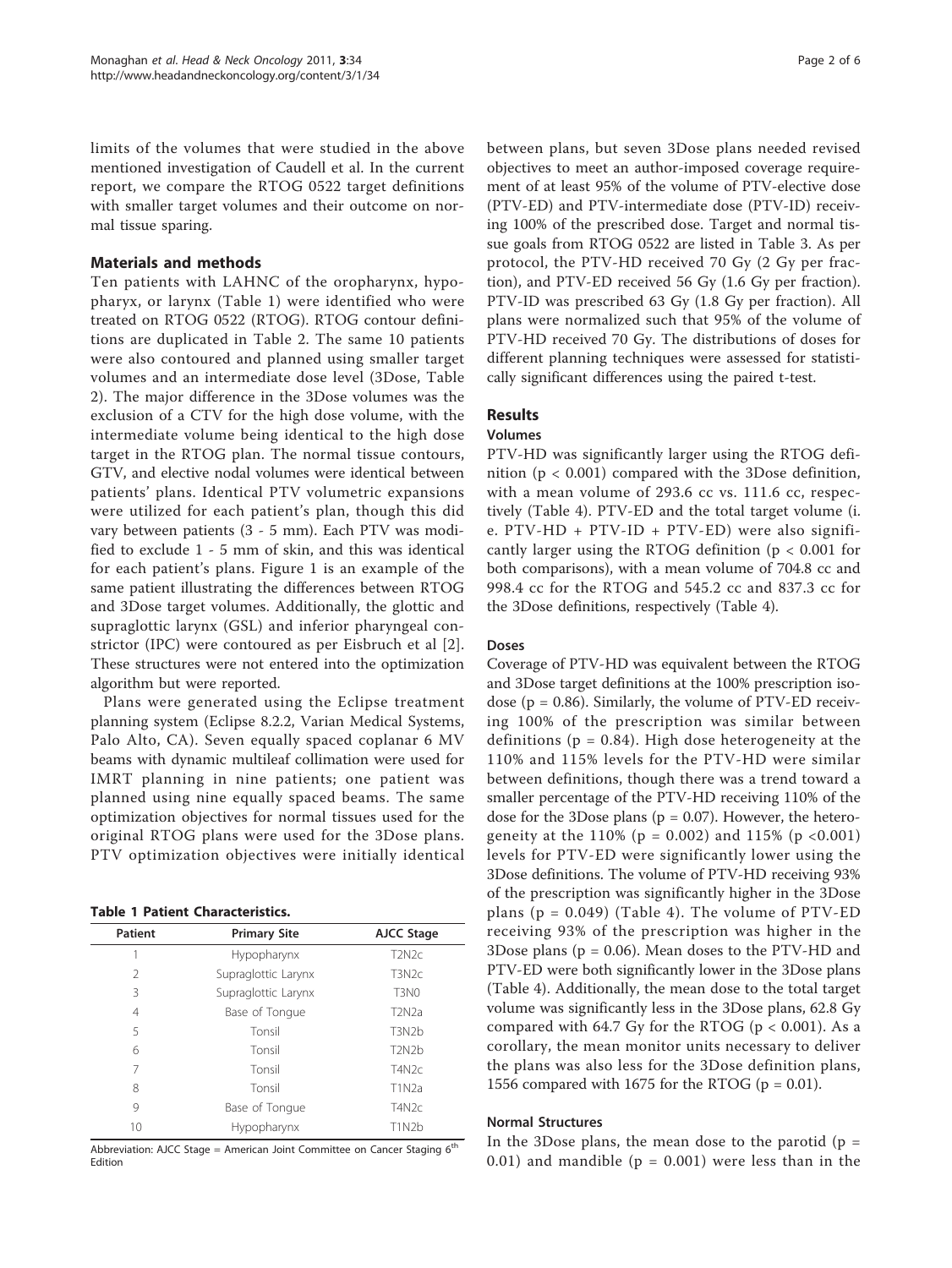limits of the volumes that were studied in the above mentioned investigation of Caudell et al. In the current report, we compare the RTOG 0522 target definitions with smaller target volumes and their outcome on normal tissue sparing.

### Materials and methods

Ten patients with LAHNC of the oropharynx, hypopharyx, or larynx (Table 1) were identified who were treated on RTOG 0522 (RTOG). RTOG contour definitions are duplicated in Table [2](#page-2-0). The same 10 patients were also contoured and planned using smaller target volumes and an intermediate dose level (3Dose, Table [2\)](#page-2-0). The major difference in the 3Dose volumes was the exclusion of a CTV for the high dose volume, with the intermediate volume being identical to the high dose target in the RTOG plan. The normal tissue contours, GTV, and elective nodal volumes were identical between patients' plans. Identical PTV volumetric expansions were utilized for each patient's plan, though this did vary between patients (3 - 5 mm). Each PTV was modified to exclude 1 - 5 mm of skin, and this was identical for each patient's plans. Figure [1](#page-2-0) is an example of the same patient illustrating the differences between RTOG and 3Dose target volumes. Additionally, the glottic and supraglottic larynx (GSL) and inferior pharyngeal constrictor (IPC) were contoured as per Eisbruch et al [[2](#page-4-0)]. These structures were not entered into the optimization algorithm but were reported.

Plans were generated using the Eclipse treatment planning system (Eclipse 8.2.2, Varian Medical Systems, Palo Alto, CA). Seven equally spaced coplanar 6 MV beams with dynamic multileaf collimation were used for IMRT planning in nine patients; one patient was planned using nine equally spaced beams. The same optimization objectives for normal tissues used for the original RTOG plans were used for the 3Dose plans. PTV optimization objectives were initially identical

| <b>Patient</b> | <b>Primary Site</b> | AJCC Stage                      |
|----------------|---------------------|---------------------------------|
|                | Hypopharynx         | T <sub>2</sub> N <sub>2c</sub>  |
| 2              | Supraglottic Larynx | T3N <sub>2c</sub>               |
| ξ              | Supraglottic Larynx | T <sub>3</sub> N <sub>0</sub>   |
| 4              | Base of Tonque      | T <sub>2</sub> N <sub>2</sub> a |
| 5              | Tonsil              | T <sub>3</sub> N <sub>2</sub> b |
| 6              | Tonsil              | T <sub>2</sub> N <sub>2</sub> b |
| 7              | Tonsil              | T4N2c                           |
| 8              | Tonsil              | T1N2a                           |
| 9              | Base of Tongue      | T4N2c                           |
| 10             | Hypopharynx         | T1N2b                           |
|                |                     |                                 |

Abbreviation: AJCC Stage = American Joint Committee on Cancer Staging 6<sup>th</sup> Edition

between plans, but seven 3Dose plans needed revised objectives to meet an author-imposed coverage requirement of at least 95% of the volume of PTV-elective dose (PTV-ED) and PTV-intermediate dose (PTV-ID) receiving 100% of the prescribed dose. Target and normal tissue goals from RTOG 0522 are listed in Table [3.](#page-3-0) As per protocol, the PTV-HD received 70 Gy (2 Gy per fraction), and PTV-ED received 56 Gy (1.6 Gy per fraction). PTV-ID was prescribed 63 Gy (1.8 Gy per fraction). All plans were normalized such that 95% of the volume of PTV-HD received 70 Gy. The distributions of doses for different planning techniques were assessed for statistically significant differences using the paired t-test.

# Results

#### Volumes

PTV-HD was significantly larger using the RTOG definition ( $p < 0.001$ ) compared with the 3Dose definition, with a mean volume of 293.6 cc vs. 111.6 cc, respectively (Table [4\)](#page-3-0). PTV-ED and the total target volume (i. e. PTV-HD + PTV-ID + PTV-ED) were also significantly larger using the RTOG definition (p < 0.001 for both comparisons), with a mean volume of 704.8 cc and 998.4 cc for the RTOG and 545.2 cc and 837.3 cc for the 3Dose definitions, respectively (Table [4](#page-3-0)).

### Doses

Coverage of PTV-HD was equivalent between the RTOG and 3Dose target definitions at the 100% prescription isodose ( $p = 0.86$ ). Similarly, the volume of PTV-ED receiving 100% of the prescription was similar between definitions ( $p = 0.84$ ). High dose heterogeneity at the 110% and 115% levels for the PTV-HD were similar between definitions, though there was a trend toward a smaller percentage of the PTV-HD receiving 110% of the dose for the 3Dose plans ( $p = 0.07$ ). However, the heterogeneity at the  $110\%$  (p = 0.002) and  $115\%$  (p < 0.001) levels for PTV-ED were significantly lower using the 3Dose definitions. The volume of PTV-HD receiving 93% of the prescription was significantly higher in the 3Dose plans ( $p = 0.049$ ) (Table [4](#page-3-0)). The volume of PTV-ED receiving 93% of the prescription was higher in the 3Dose plans ( $p = 0.06$ ). Mean doses to the PTV-HD and PTV-ED were both significantly lower in the 3Dose plans (Table [4](#page-3-0)). Additionally, the mean dose to the total target volume was significantly less in the 3Dose plans, 62.8 Gy compared with 64.7 Gy for the RTOG ( $p < 0.001$ ). As a corollary, the mean monitor units necessary to deliver the plans was also less for the 3Dose definition plans, 1556 compared with 1675 for the RTOG ( $p = 0.01$ ).

#### Normal Structures

In the 3Dose plans, the mean dose to the parotid  $(p =$ 0.01) and mandible ( $p = 0.001$ ) were less than in the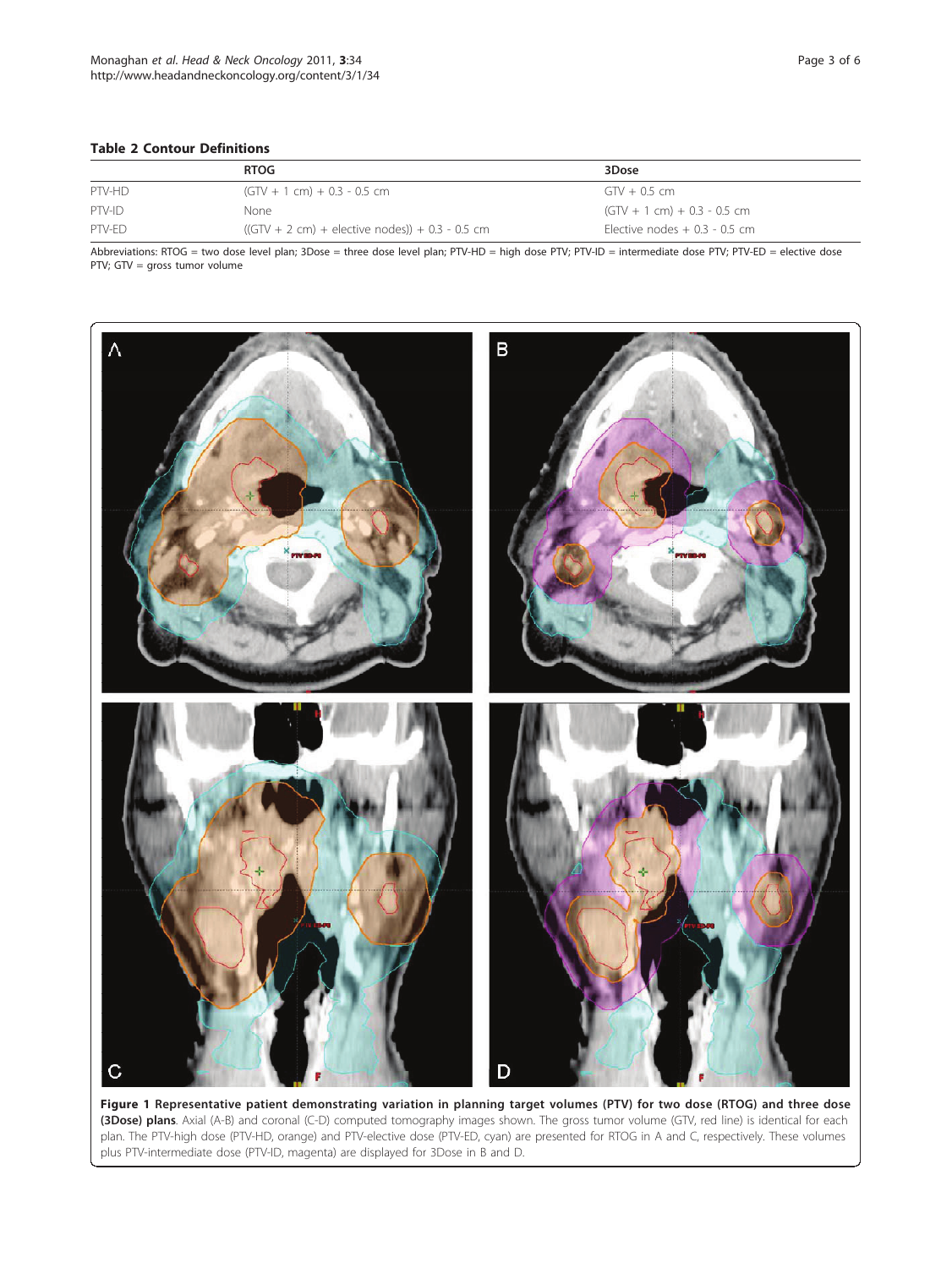#### <span id="page-2-0"></span>Table 2 Contour Definitions

|        | <b>RTOG</b>                                       | 3Dose                           |
|--------|---------------------------------------------------|---------------------------------|
| PTV-HD | $(GTV + 1 cm) + 0.3 - 0.5 cm$                     | $GTV + 0.5$ cm                  |
| PTV-ID | None                                              | $(GTV + 1 cm) + 0.3 - 0.5 cm$   |
| PTV-FD | $((GTV + 2 cm) +$ elective nodes)) + 0.3 - 0.5 cm | Elective nodes $+$ 0.3 - 0.5 cm |

Abbreviations: RTOG = two dose level plan; 3Dose = three dose level plan; PTV-HD = high dose PTV; PTV-ID = intermediate dose PTV; PTV-ED = elective dose PTV; GTV = gross tumor volume



Figure 1 Representative patient demonstrating variation in planning target volumes (PTV) for two dose (RTOG) and three dose (3Dose) plans. Axial (A-B) and coronal (C-D) computed tomography images shown. The gross tumor volume (GTV, red line) is identical for each plan. The PTV-high dose (PTV-HD, orange) and PTV-elective dose (PTV-ED, cyan) are presented for RTOG in A and C, respectively. These volumes plus PTV-intermediate dose (PTV-ID, magenta) are displayed for 3Dose in B and D.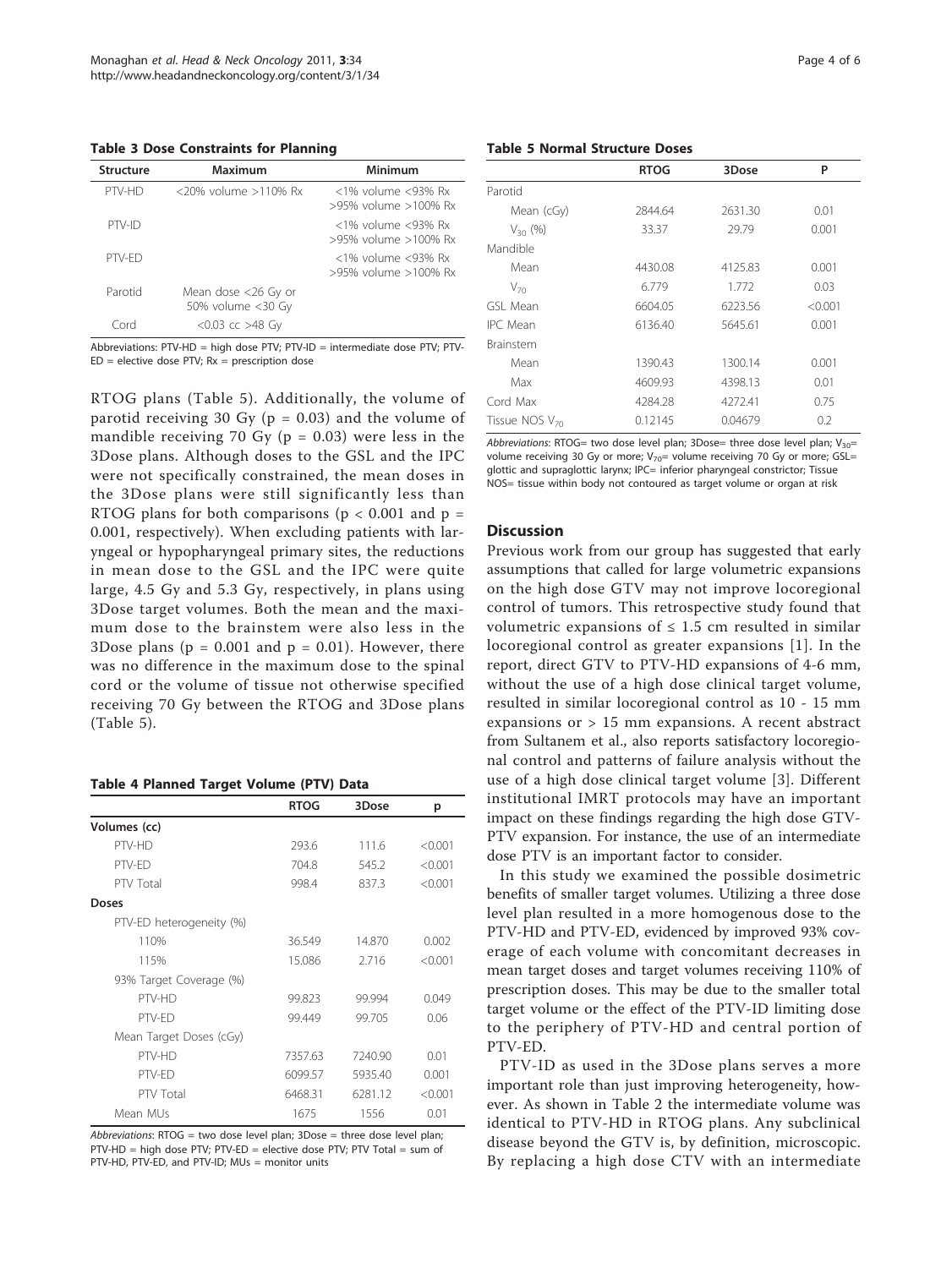<span id="page-3-0"></span>Table 3 Dose Constraints for Planning

| Structure | Maximum                                  | Minimum                                          |
|-----------|------------------------------------------|--------------------------------------------------|
| PTV-HD    | $\langle 20\%$ volume $>110\%$ Rx        | $<$ 1% volume $<$ 93% Rx<br>>95% volume >100% Rx |
| PTV-ID    |                                          | $<$ 1% volume $<$ 93% Rx<br>>95% volume >100% Rx |
| PTV-FD    |                                          | $<$ 1% volume $<$ 93% Rx<br>>95% volume >100% Rx |
| Parotid   | Mean dose <26 Gy or<br>50% volume <30 Gy |                                                  |
| Cord      | $< 0.03$ cc $> 48$ Gy                    |                                                  |

Abbreviations: PTV-HD = high dose PTV; PTV-ID = intermediate dose PTV; PTV- $ED =$  elective dose PTV;  $Rx =$  prescription dose

RTOG plans (Table 5). Additionally, the volume of parotid receiving 30 Gy ( $p = 0.03$ ) and the volume of mandible receiving 70 Gy ( $p = 0.03$ ) were less in the 3Dose plans. Although doses to the GSL and the IPC were not specifically constrained, the mean doses in the 3Dose plans were still significantly less than RTOG plans for both comparisons ( $p < 0.001$  and  $p =$ 0.001, respectively). When excluding patients with laryngeal or hypopharyngeal primary sites, the reductions in mean dose to the GSL and the IPC were quite large, 4.5 Gy and 5.3 Gy, respectively, in plans using 3Dose target volumes. Both the mean and the maximum dose to the brainstem were also less in the 3Dose plans ( $p = 0.001$  and  $p = 0.01$ ). However, there was no difference in the maximum dose to the spinal cord or the volume of tissue not otherwise specified receiving 70 Gy between the RTOG and 3Dose plans (Table 5).

#### Table 4 Planned Target Volume (PTV) Data

|                          | <b>RTOG</b> | 3Dose   | р       |
|--------------------------|-------------|---------|---------|
| Volumes (cc)             |             |         |         |
| PTV-HD                   | 293.6       | 111.6   | < 0.001 |
| PTV-FD                   | 704.8       | 545.2   | < 0.001 |
| PTV Total                | 998.4       | 837.3   | < 0.001 |
| <b>Doses</b>             |             |         |         |
| PTV-ED heterogeneity (%) |             |         |         |
| 110%                     | 36.549      | 14.870  | 0.002   |
| 115%                     | 15.086      | 2.716   | < 0.001 |
| 93% Target Coverage (%)  |             |         |         |
| PTV-HD                   | 99.823      | 99.994  | 0.049   |
| PTV-FD                   | 99.449      | 99.705  | 0.06    |
| Mean Target Doses (cGy)  |             |         |         |
| PTV-HD                   | 7357.63     | 7240.90 | 0.01    |
| PTV-FD                   | 6099.57     | 5935.40 | 0.001   |
| PTV Total                | 6468.31     | 6281.12 | < 0.001 |
| Mean MUs                 | 1675        | 1556    | 0.01    |

Abbreviations: RTOG = two dose level plan; 3Dose = three dose level plan; PTV-HD = high dose PTV; PTV-ED = elective dose PTV; PTV Total = sum of PTV-HD, PTV-ED, and PTV-ID; MUs = monitor units

#### Table 5 Normal Structure Doses

|                            | <b>RTOG</b> | 3Dose   | P       |
|----------------------------|-------------|---------|---------|
| Parotid                    |             |         |         |
| Mean (cGy)                 | 2844.64     | 2631.30 | 0.01    |
| $V_{30}$ (%)               | 33.37       | 29.79   | 0.001   |
| Mandible                   |             |         |         |
| Mean                       | 4430.08     | 4125.83 | 0.001   |
| $V_{70}$                   | 6.779       | 1.772   | 0.03    |
| GSI Mean                   | 6604.05     | 6223.56 | < 0.001 |
| <b>IPC</b> Mean            | 6136.40     | 5645.61 | 0.001   |
| <b>Brainstem</b>           |             |         |         |
| Mean                       | 1390.43     | 1300.14 | 0.001   |
| Max                        | 4609.93     | 4398.13 | 0.01    |
| Cord Max                   | 4284.28     | 4272.41 | 0.75    |
| Tissue NOS V <sub>70</sub> | 0.12145     | 0.04679 | 0.2     |

Abbreviations: RTOG= two dose level plan; 3Dose= three dose level plan;  $V_{30}$ = volume receiving 30 Gy or more;  $V_{70}$ = volume receiving 70 Gy or more; GSL= glottic and supraglottic larynx; IPC= inferior pharyngeal constrictor; Tissue NOS= tissue within body not contoured as target volume or organ at risk

#### **Discussion**

Previous work from our group has suggested that early assumptions that called for large volumetric expansions on the high dose GTV may not improve locoregional control of tumors. This retrospective study found that volumetric expansions of  $\leq 1.5$  cm resulted in similar locoregional control as greater expansions [[1\]](#page-4-0). In the report, direct GTV to PTV-HD expansions of 4-6 mm, without the use of a high dose clinical target volume, resulted in similar locoregional control as 10 - 15 mm expansions or > 15 mm expansions. A recent abstract from Sultanem et al., also reports satisfactory locoregional control and patterns of failure analysis without the use of a high dose clinical target volume [\[3\]](#page-4-0). Different institutional IMRT protocols may have an important impact on these findings regarding the high dose GTV-PTV expansion. For instance, the use of an intermediate dose PTV is an important factor to consider.

In this study we examined the possible dosimetric benefits of smaller target volumes. Utilizing a three dose level plan resulted in a more homogenous dose to the PTV-HD and PTV-ED, evidenced by improved 93% coverage of each volume with concomitant decreases in mean target doses and target volumes receiving 110% of prescription doses. This may be due to the smaller total target volume or the effect of the PTV-ID limiting dose to the periphery of PTV-HD and central portion of PTV-ED.

PTV-ID as used in the 3Dose plans serves a more important role than just improving heterogeneity, however. As shown in Table [2](#page-2-0) the intermediate volume was identical to PTV-HD in RTOG plans. Any subclinical disease beyond the GTV is, by definition, microscopic. By replacing a high dose CTV with an intermediate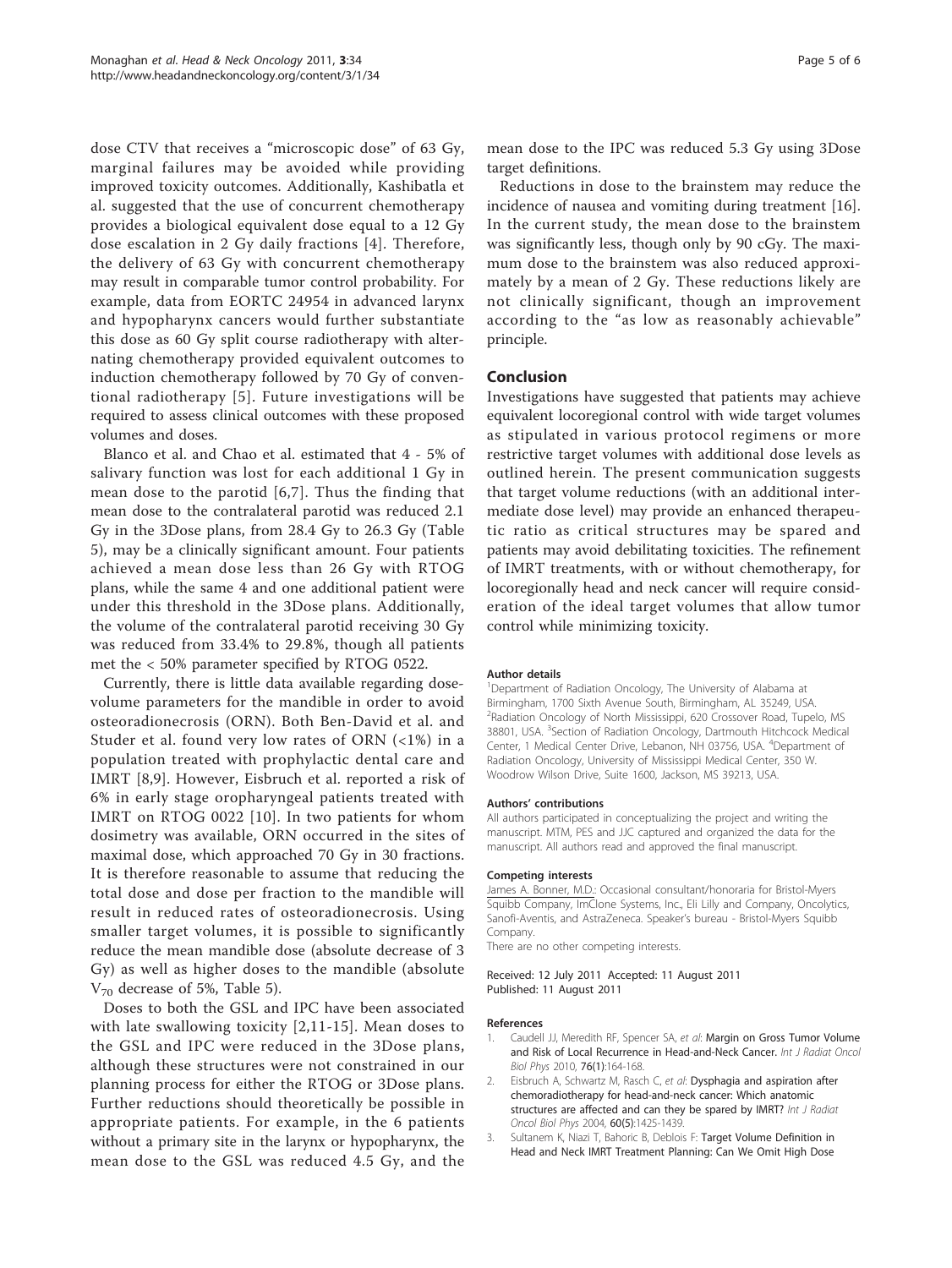<span id="page-4-0"></span>dose CTV that receives a "microscopic dose" of 63 Gy, marginal failures may be avoided while providing improved toxicity outcomes. Additionally, Kashibatla et al. suggested that the use of concurrent chemotherapy provides a biological equivalent dose equal to a 12 Gy dose escalation in 2 Gy daily fractions [[4](#page-5-0)]. Therefore, the delivery of 63 Gy with concurrent chemotherapy may result in comparable tumor control probability. For example, data from EORTC 24954 in advanced larynx and hypopharynx cancers would further substantiate this dose as 60 Gy split course radiotherapy with alternating chemotherapy provided equivalent outcomes to induction chemotherapy followed by 70 Gy of conventional radiotherapy [[5](#page-5-0)]. Future investigations will be required to assess clinical outcomes with these proposed volumes and doses.

Blanco et al. and Chao et al. estimated that 4 - 5% of salivary function was lost for each additional 1 Gy in mean dose to the parotid [[6,7](#page-5-0)]. Thus the finding that mean dose to the contralateral parotid was reduced 2.1 Gy in the 3Dose plans, from 28.4 Gy to 26.3 Gy (Table [5\)](#page-3-0), may be a clinically significant amount. Four patients achieved a mean dose less than 26 Gy with RTOG plans, while the same 4 and one additional patient were under this threshold in the 3Dose plans. Additionally, the volume of the contralateral parotid receiving 30 Gy was reduced from 33.4% to 29.8%, though all patients met the < 50% parameter specified by RTOG 0522.

Currently, there is little data available regarding dosevolume parameters for the mandible in order to avoid osteoradionecrosis (ORN). Both Ben-David et al. and Studer et al. found very low rates of ORN (<1%) in a population treated with prophylactic dental care and IMRT [[8,9\]](#page-5-0). However, Eisbruch et al. reported a risk of 6% in early stage oropharyngeal patients treated with IMRT on RTOG 0022 [[10\]](#page-5-0). In two patients for whom dosimetry was available, ORN occurred in the sites of maximal dose, which approached 70 Gy in 30 fractions. It is therefore reasonable to assume that reducing the total dose and dose per fraction to the mandible will result in reduced rates of osteoradionecrosis. Using smaller target volumes, it is possible to significantly reduce the mean mandible dose (absolute decrease of 3 Gy) as well as higher doses to the mandible (absolute  $V_{70}$  decrease of 5%, Table [5\)](#page-3-0).

Doses to both the GSL and IPC have been associated with late swallowing toxicity [2,[11](#page-5-0)-[15](#page-5-0)]. Mean doses to the GSL and IPC were reduced in the 3Dose plans, although these structures were not constrained in our planning process for either the RTOG or 3Dose plans. Further reductions should theoretically be possible in appropriate patients. For example, in the 6 patients without a primary site in the larynx or hypopharynx, the mean dose to the GSL was reduced 4.5 Gy, and the mean dose to the IPC was reduced 5.3 Gy using 3Dose target definitions.

Reductions in dose to the brainstem may reduce the incidence of nausea and vomiting during treatment [\[16](#page-5-0)]. In the current study, the mean dose to the brainstem was significantly less, though only by 90 cGy. The maximum dose to the brainstem was also reduced approximately by a mean of 2 Gy. These reductions likely are not clinically significant, though an improvement according to the "as low as reasonably achievable" principle.

#### Conclusion

Investigations have suggested that patients may achieve equivalent locoregional control with wide target volumes as stipulated in various protocol regimens or more restrictive target volumes with additional dose levels as outlined herein. The present communication suggests that target volume reductions (with an additional intermediate dose level) may provide an enhanced therapeutic ratio as critical structures may be spared and patients may avoid debilitating toxicities. The refinement of IMRT treatments, with or without chemotherapy, for locoregionally head and neck cancer will require consideration of the ideal target volumes that allow tumor control while minimizing toxicity.

#### Author details

<sup>1</sup>Department of Radiation Oncology, The University of Alabama at Birmingham, 1700 Sixth Avenue South, Birmingham, AL 35249, USA. <sup>2</sup>Radiation Oncology of North Mississippi, 620 Crossover Road, Tupelo, MS 38801, USA. <sup>3</sup>Section of Radiation Oncology, Dartmouth Hitchcock Medical Center, 1 Medical Center Drive, Lebanon, NH 03756, USA. <sup>4</sup>Department of Radiation Oncology, University of Mississippi Medical Center, 350 W. Woodrow Wilson Drive, Suite 1600, Jackson, MS 39213, USA.

#### Authors' contributions

All authors participated in conceptualizing the project and writing the manuscript. MTM, PES and JJC captured and organized the data for the manuscript. All authors read and approved the final manuscript.

#### Competing interests

James A. Bonner, M.D.: Occasional consultant/honoraria for Bristol-Myers Squibb Company, ImClone Systems, Inc., Eli Lilly and Company, Oncolytics, Sanofi-Aventis, and AstraZeneca. Speaker's bureau - Bristol-Myers Squibb Company.

There are no other competing interests.

#### Received: 12 July 2011 Accepted: 11 August 2011 Published: 11 August 2011

#### References

- Caudell JJ, Meredith RF, Spencer SA, et al: [Margin on Gross Tumor Volume](http://www.ncbi.nlm.nih.gov/pubmed/19386438?dopt=Abstract) [and Risk of Local Recurrence in Head-and-Neck Cancer.](http://www.ncbi.nlm.nih.gov/pubmed/19386438?dopt=Abstract) Int J Radiat Oncol Biol Phys 2010, 76(1):164-168.
- Eisbruch A, Schwartz M, Rasch C, et al: [Dysphagia and aspiration after](http://www.ncbi.nlm.nih.gov/pubmed/15590174?dopt=Abstract) [chemoradiotherapy for head-and-neck cancer: Which anatomic](http://www.ncbi.nlm.nih.gov/pubmed/15590174?dopt=Abstract) [structures are affected and can they be spared by IMRT?](http://www.ncbi.nlm.nih.gov/pubmed/15590174?dopt=Abstract) Int J Radiat Oncol Biol Phys 2004, 60(5):1425-1439.
- 3. Sultanem K, Niazi T, Bahoric B, Deblois F: Target Volume Definition in Head and Neck IMRT Treatment Planning: Can We Omit High Dose